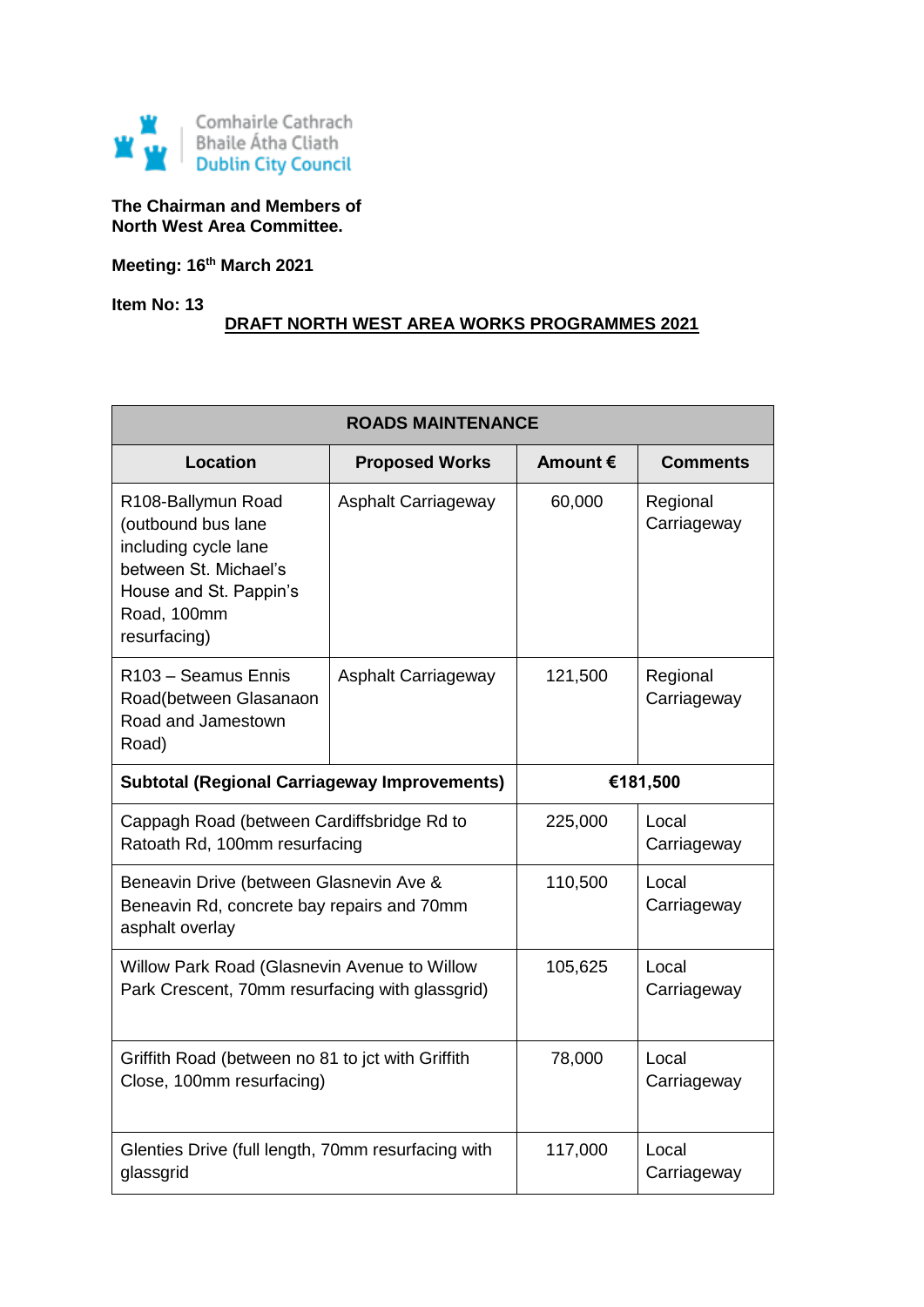

**The Chairman and Members of North West Area Committee.**

**Meeting: 16th March 2021**

**Item No: 13**

## **DRAFT NORTH WEST AREA WORKS PROGRAMMES 2021**

| <b>ROADS MAINTENANCE</b>                                                                                                                           |                            |          |                         |
|----------------------------------------------------------------------------------------------------------------------------------------------------|----------------------------|----------|-------------------------|
| <b>Location</b>                                                                                                                                    | <b>Proposed Works</b>      | Amount € | <b>Comments</b>         |
| R108-Ballymun Road<br>(outbound bus lane<br>including cycle lane<br>between St. Michael's<br>House and St. Pappin's<br>Road, 100mm<br>resurfacing) | <b>Asphalt Carriageway</b> | 60,000   | Regional<br>Carriageway |
| R103 - Seamus Ennis<br>Road(between Glasanaon<br>Road and Jamestown<br>Road)                                                                       | <b>Asphalt Carriageway</b> | 121,500  | Regional<br>Carriageway |
| <b>Subtotal (Regional Carriageway Improvements)</b>                                                                                                |                            |          | €181,500                |
| Cappagh Road (between Cardiffsbridge Rd to<br>Ratoath Rd, 100mm resurfacing                                                                        |                            | 225,000  | Local<br>Carriageway    |
| Beneavin Drive (between Glasnevin Ave &<br>Beneavin Rd, concrete bay repairs and 70mm<br>asphalt overlay                                           |                            | 110,500  | Local<br>Carriageway    |
| Willow Park Road (Glasnevin Avenue to Willow<br>Park Crescent, 70mm resurfacing with glassgrid)                                                    |                            | 105,625  | Local<br>Carriageway    |
| Griffith Road (between no 81 to jct with Griffith<br>Close, 100mm resurfacing)                                                                     |                            | 78,000   | Local<br>Carriageway    |
| Glenties Drive (full length, 70mm resurfacing with<br>glassgrid                                                                                    |                            | 117,000  | Local<br>Carriageway    |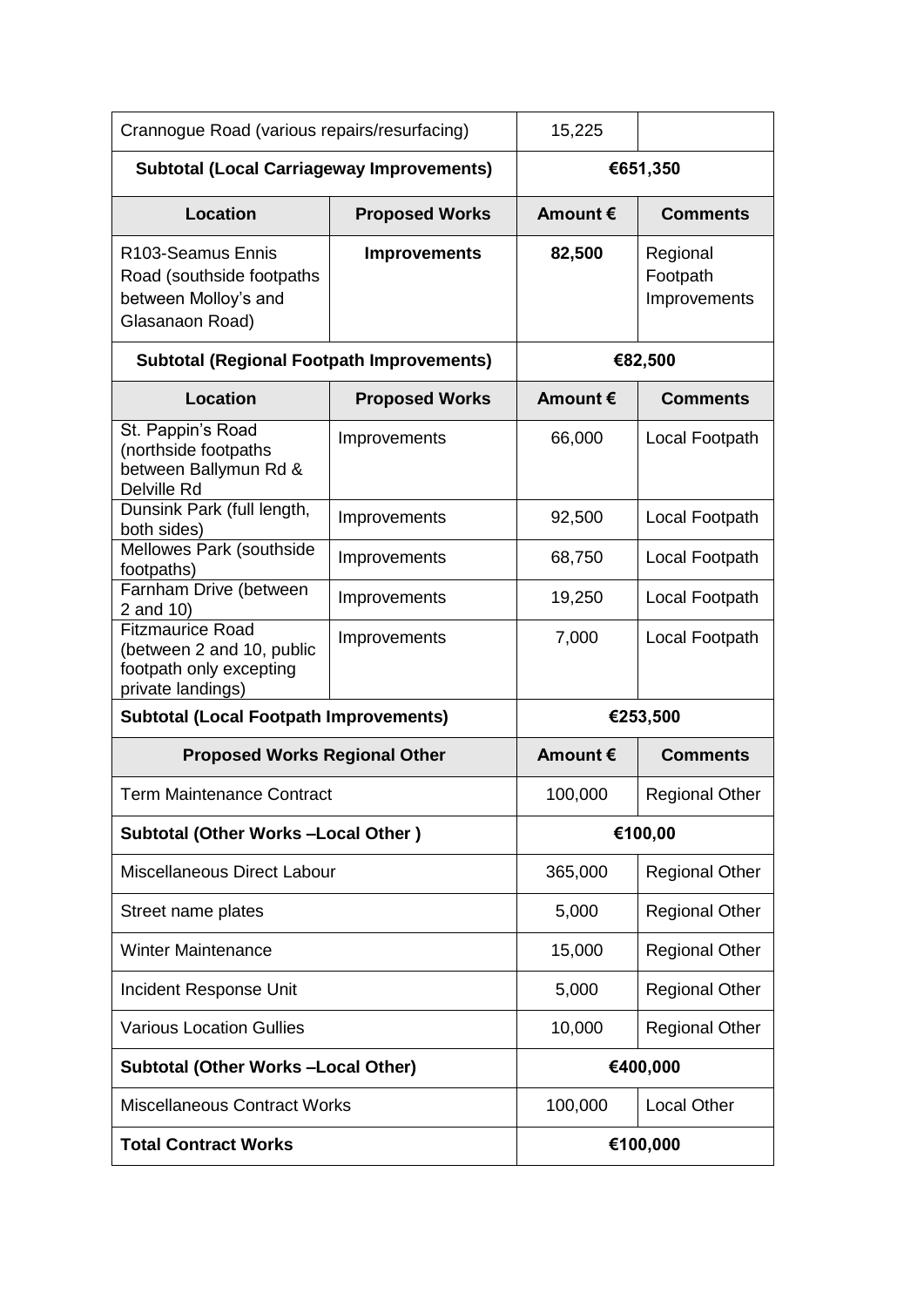| Crannogue Road (various repairs/resurfacing)                                                           |                       | 15,225            |                                      |
|--------------------------------------------------------------------------------------------------------|-----------------------|-------------------|--------------------------------------|
| <b>Subtotal (Local Carriageway Improvements)</b>                                                       |                       | €651,350          |                                      |
| <b>Location</b>                                                                                        | <b>Proposed Works</b> | Amount $\epsilon$ | <b>Comments</b>                      |
| R <sub>103</sub> -Seamus Ennis<br>Road (southside footpaths<br>between Molloy's and<br>Glasanaon Road) | <b>Improvements</b>   | 82,500            | Regional<br>Footpath<br>Improvements |
| <b>Subtotal (Regional Footpath Improvements)</b>                                                       |                       | €82,500           |                                      |
| <b>Location</b>                                                                                        | <b>Proposed Works</b> | Amount $\epsilon$ | <b>Comments</b>                      |
| St. Pappin's Road<br>(northside footpaths<br>between Ballymun Rd &<br>Delville Rd                      | Improvements          | 66,000            | Local Footpath                       |
| Dunsink Park (full length,<br>both sides)                                                              | Improvements          | 92,500            | Local Footpath                       |
| Mellowes Park (southside<br>footpaths)                                                                 | Improvements          | 68,750            | Local Footpath                       |
| Farnham Drive (between<br>2 and 10)                                                                    | Improvements          | 19,250            | Local Footpath                       |
| <b>Fitzmaurice Road</b><br>(between 2 and 10, public<br>footpath only excepting<br>private landings)   | Improvements          | 7,000             | Local Footpath                       |
| <b>Subtotal (Local Footpath Improvements)</b>                                                          |                       | €253,500          |                                      |
| <b>Proposed Works Regional Other</b>                                                                   |                       | Amount €          | <b>Comments</b>                      |
| <b>Term Maintenance Contract</b>                                                                       |                       | 100,000           | <b>Regional Other</b>                |
| Subtotal (Other Works-Local Other)                                                                     |                       | €100,00           |                                      |
| Miscellaneous Direct Labour                                                                            |                       | 365,000           | <b>Regional Other</b>                |
| Street name plates                                                                                     |                       | 5,000             | <b>Regional Other</b>                |
| <b>Winter Maintenance</b>                                                                              |                       | 15,000            | <b>Regional Other</b>                |
| Incident Response Unit                                                                                 |                       | 5,000             | <b>Regional Other</b>                |
| <b>Various Location Gullies</b>                                                                        |                       | 10,000            | <b>Regional Other</b>                |
| <b>Subtotal (Other Works -Local Other)</b>                                                             |                       | €400,000          |                                      |
| <b>Miscellaneous Contract Works</b>                                                                    |                       | 100,000           | <b>Local Other</b>                   |
| <b>Total Contract Works</b>                                                                            |                       |                   | €100,000                             |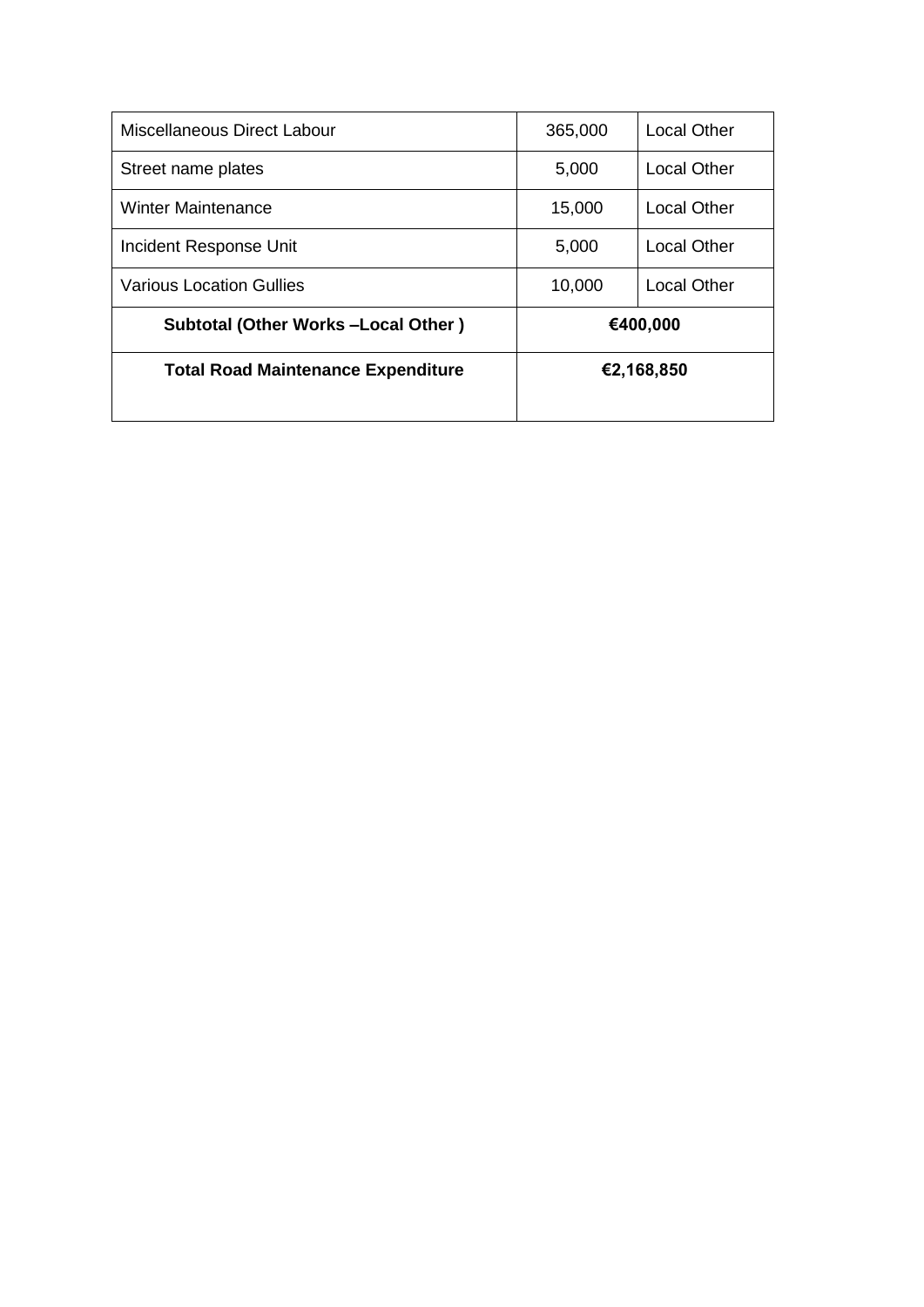| Miscellaneous Direct Labour               | 365,000    | <b>Local Other</b> |
|-------------------------------------------|------------|--------------------|
| Street name plates                        | 5,000      | <b>Local Other</b> |
| Winter Maintenance                        | 15,000     | <b>Local Other</b> |
| Incident Response Unit                    | 5,000      | Local Other        |
| <b>Various Location Gullies</b>           | 10,000     | <b>Local Other</b> |
| <b>Subtotal (Other Works-Local Other)</b> |            | €400,000           |
| <b>Total Road Maintenance Expenditure</b> | €2,168,850 |                    |
|                                           |            |                    |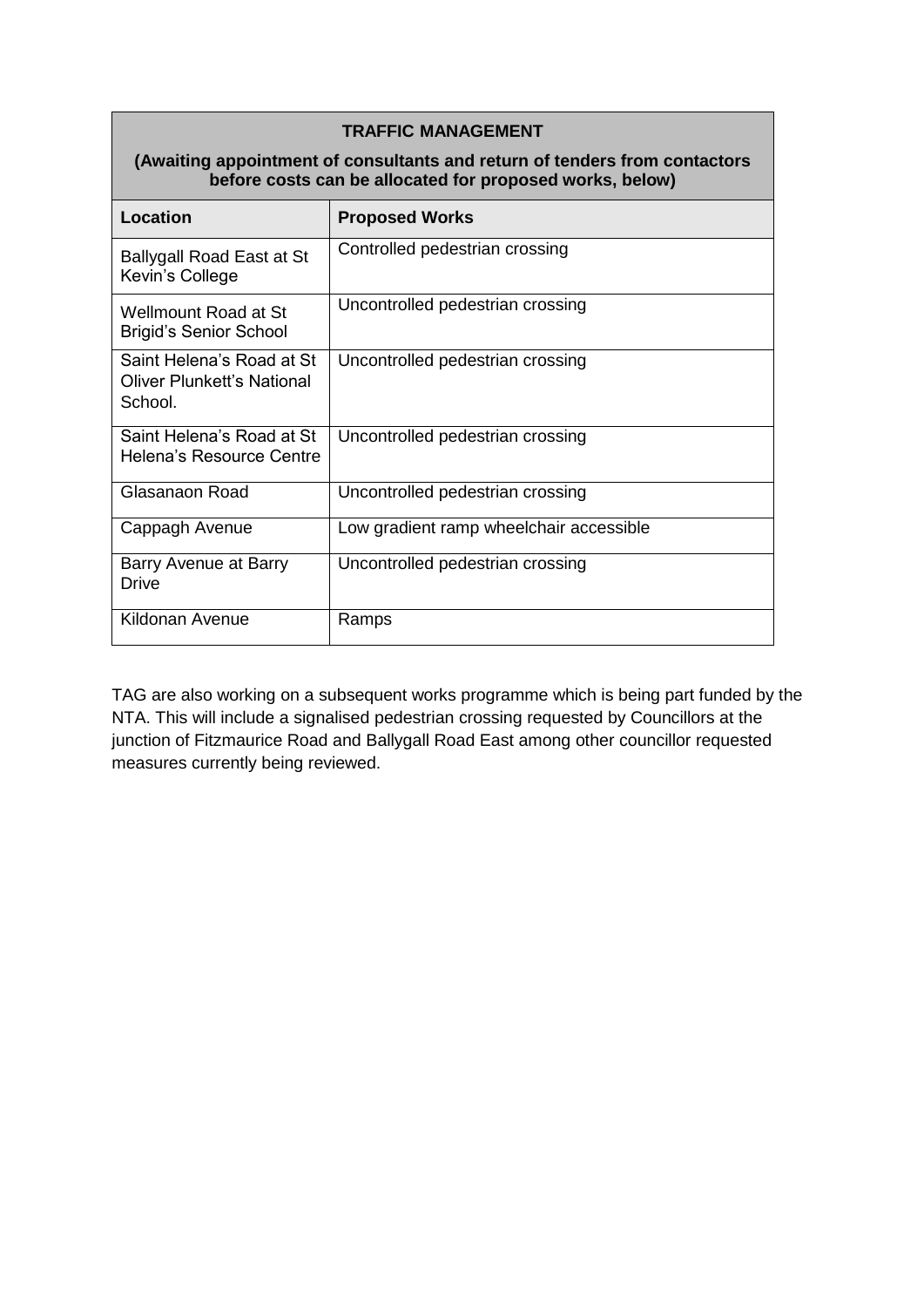| (Awaiting appointment of consultants and return of tenders from contactors<br>before costs can be allocated for proposed works, below) |                                         |  |
|----------------------------------------------------------------------------------------------------------------------------------------|-----------------------------------------|--|
| Location                                                                                                                               | <b>Proposed Works</b>                   |  |
| <b>Ballygall Road East at St</b><br>Kevin's College                                                                                    | Controlled pedestrian crossing          |  |
| Wellmount Road at St<br><b>Brigid's Senior School</b>                                                                                  | Uncontrolled pedestrian crossing        |  |
| Saint Helena's Road at St<br><b>Oliver Plunkett's National</b><br>School.                                                              | Uncontrolled pedestrian crossing        |  |
| Saint Helena's Road at St<br>Helena's Resource Centre                                                                                  | Uncontrolled pedestrian crossing        |  |
| Glasanaon Road                                                                                                                         | Uncontrolled pedestrian crossing        |  |
| Cappagh Avenue                                                                                                                         | Low gradient ramp wheelchair accessible |  |
| Barry Avenue at Barry<br>Drive                                                                                                         | Uncontrolled pedestrian crossing        |  |
| Kildonan Avenue                                                                                                                        | Ramps                                   |  |

TAG are also working on a subsequent works programme which is being part funded by the NTA. This will include a signalised pedestrian crossing requested by Councillors at the junction of Fitzmaurice Road and Ballygall Road East among other councillor requested measures currently being reviewed.

## **TRAFFIC MANAGEMENT**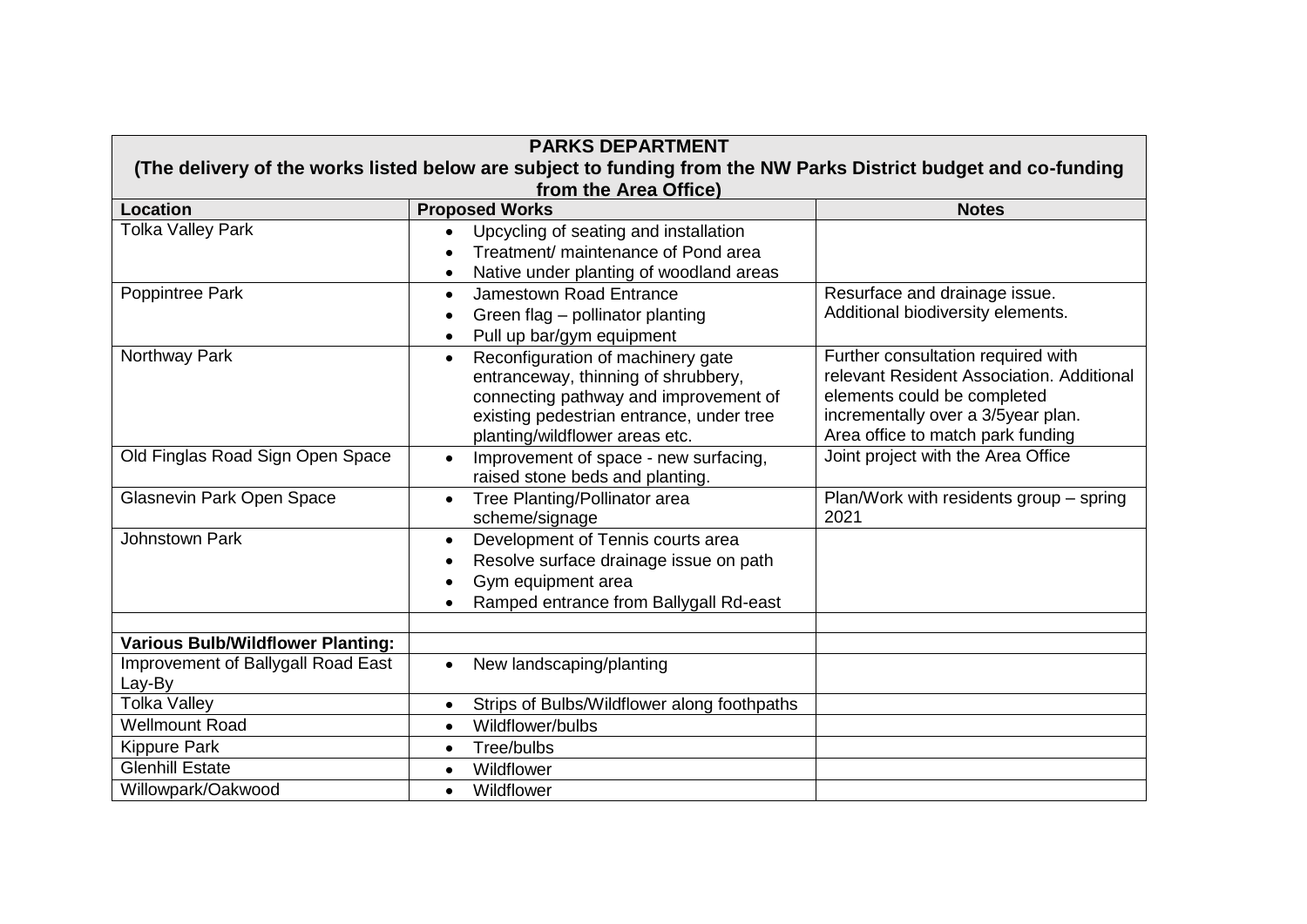| <b>PARKS DEPARTMENT</b>                                                                                                                  |                                                                                                                                                                                                              |                                                                                                                                                                                           |  |
|------------------------------------------------------------------------------------------------------------------------------------------|--------------------------------------------------------------------------------------------------------------------------------------------------------------------------------------------------------------|-------------------------------------------------------------------------------------------------------------------------------------------------------------------------------------------|--|
| (The delivery of the works listed below are subject to funding from the NW Parks District budget and co-funding<br>from the Area Office) |                                                                                                                                                                                                              |                                                                                                                                                                                           |  |
| <b>Location</b>                                                                                                                          | <b>Proposed Works</b>                                                                                                                                                                                        | <b>Notes</b>                                                                                                                                                                              |  |
| <b>Tolka Valley Park</b>                                                                                                                 | Upcycling of seating and installation<br>Treatment/ maintenance of Pond area<br>Native under planting of woodland areas                                                                                      |                                                                                                                                                                                           |  |
| Poppintree Park                                                                                                                          | Jamestown Road Entrance<br>$\bullet$<br>Green flag - pollinator planting<br>Pull up bar/gym equipment                                                                                                        | Resurface and drainage issue.<br>Additional biodiversity elements.                                                                                                                        |  |
| Northway Park                                                                                                                            | Reconfiguration of machinery gate<br>$\bullet$<br>entranceway, thinning of shrubbery,<br>connecting pathway and improvement of<br>existing pedestrian entrance, under tree<br>planting/wildflower areas etc. | Further consultation required with<br>relevant Resident Association, Additional<br>elements could be completed<br>incrementally over a 3/5year plan.<br>Area office to match park funding |  |
| Old Finglas Road Sign Open Space                                                                                                         | Improvement of space - new surfacing,<br>$\bullet$<br>raised stone beds and planting.                                                                                                                        | Joint project with the Area Office                                                                                                                                                        |  |
| <b>Glasnevin Park Open Space</b>                                                                                                         | Tree Planting/Pollinator area<br>$\bullet$<br>scheme/signage                                                                                                                                                 | Plan/Work with residents group - spring<br>2021                                                                                                                                           |  |
| Johnstown Park                                                                                                                           | Development of Tennis courts area<br>$\bullet$<br>Resolve surface drainage issue on path<br>$\bullet$<br>Gym equipment area<br>٠<br>Ramped entrance from Ballygall Rd-east<br>$\bullet$                      |                                                                                                                                                                                           |  |
|                                                                                                                                          |                                                                                                                                                                                                              |                                                                                                                                                                                           |  |
| <b>Various Bulb/Wildflower Planting:</b><br>Improvement of Ballygall Road East<br>Lay-By                                                 | New landscaping/planting<br>$\bullet$                                                                                                                                                                        |                                                                                                                                                                                           |  |
| <b>Tolka Valley</b>                                                                                                                      | Strips of Bulbs/Wildflower along foothpaths<br>$\bullet$                                                                                                                                                     |                                                                                                                                                                                           |  |
| <b>Wellmount Road</b>                                                                                                                    | Wildflower/bulbs<br>$\bullet$                                                                                                                                                                                |                                                                                                                                                                                           |  |
| <b>Kippure Park</b>                                                                                                                      | Tree/bulbs<br>$\bullet$                                                                                                                                                                                      |                                                                                                                                                                                           |  |
| <b>Glenhill Estate</b>                                                                                                                   | Wildflower<br>$\bullet$                                                                                                                                                                                      |                                                                                                                                                                                           |  |
| Willowpark/Oakwood                                                                                                                       | Wildflower<br>$\bullet$                                                                                                                                                                                      |                                                                                                                                                                                           |  |